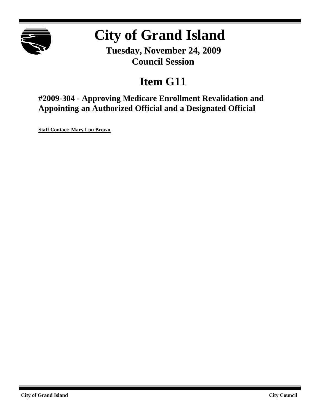

# **City of Grand Island**

**Tuesday, November 24, 2009 Council Session**

## **Item G11**

**#2009-304 - Approving Medicare Enrollment Revalidation and Appointing an Authorized Official and a Designated Official**

**Staff Contact: Mary Lou Brown**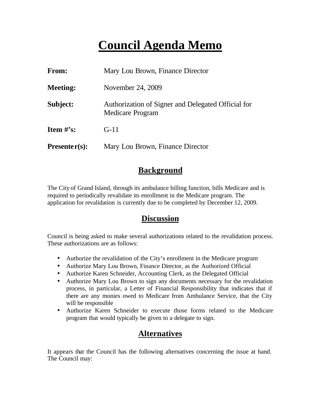### **Council Agenda Memo**

| <b>From:</b>    | Mary Lou Brown, Finance Director                                              |
|-----------------|-------------------------------------------------------------------------------|
| <b>Meeting:</b> | November 24, 2009                                                             |
| Subject:        | Authorization of Signer and Delegated Official for<br><b>Medicare Program</b> |
| Item $#$ 's:    | $G-11$                                                                        |
| $Presenter(s):$ | Mary Lou Brown, Finance Director                                              |

#### **Background**

The City of Grand Island, through its ambulance billing function, bills Medicare and is required to periodically revalidate its enrollment in the Medicare program. The application for revalidation is currently due to be completed by December 12, 2009.

#### **Discussion**

Council is being asked to make several authorizations related to the revalidation process. These authorizations are as follows:

- Authorize the revalidation of the City's enrollment in the Medicare program
- Authorize Mary Lou Brown, Finance Director, as the Authorized Official
- Authorize Karen Schneider, Accounting Clerk, as the Delegated Official
- Authorize Mary Lou Brown to sign any documents necessary for the revalidation process, in particular, a Letter of Financial Responsibility that indicates that if there are any monies owed to Medicare from Ambulance Service, that the City will be responsible
- Authorize Karen Schneider to execute those forms related to the Medicare program that would typically be given to a delegate to sign.

### **Alternatives**

It appears that the Council has the following alternatives concerning the issue at hand. The Council may: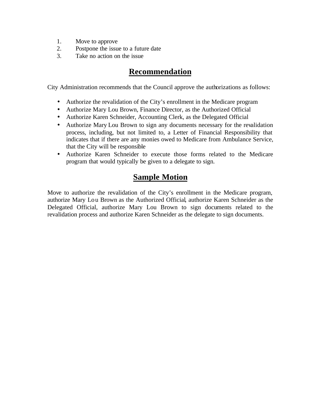- 1. Move to approve
- 2. Postpone the issue to a future date
- 3. Take no action on the issue

#### **Recommendation**

City Administration recommends that the Council approve the authorizations as follows:

- Authorize the revalidation of the City's enrollment in the Medicare program
- Authorize Mary Lou Brown, Finance Director, as the Authorized Official
- Authorize Karen Schneider, Accounting Clerk, as the Delegated Official
- Authorize Mary Lou Brown to sign any documents necessary for the revalidation process, including, but not limited to, a Letter of Financial Responsibility that indicates that if there are any monies owed to Medicare from Ambulance Service, that the City will be responsible
- Authorize Karen Schneider to execute those forms related to the Medicare program that would typically be given to a delegate to sign.

#### **Sample Motion**

Move to authorize the revalidation of the City's enrollment in the Medicare program, authorize Mary Lou Brown as the Authorized Official, authorize Karen Schneider as the Delegated Official, authorize Mary Lou Brown to sign documents related to the revalidation process and authorize Karen Schneider as the delegate to sign documents.